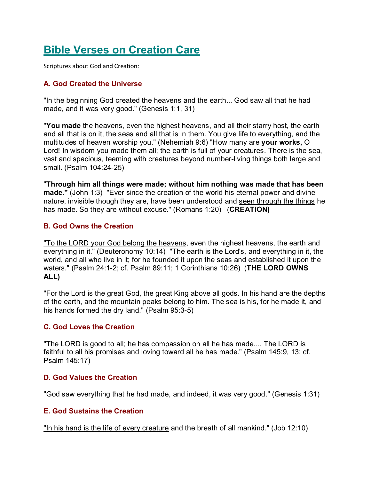# **Bible Verses on Creation Care**

Scriptures about God and Creation:

# **A. God Created the Universe**

"In the beginning God created the heavens and the earth... God saw all that he had made, and it was very good." (Genesis 1:1, 31)

"**You made** the heavens, even the highest heavens, and all their starry host, the earth and all that is on it, the seas and all that is in them. You give life to everything, and the multitudes of heaven worship you." (Nehemiah 9:6) "How many are **your works,** O Lord! In wisdom you made them all; the earth is full of your creatures. There is the sea, vast and spacious, teeming with creatures beyond number-living things both large and small. (Psalm 104:24-25)

"**Through him all things were made; without him nothing was made that has been made."** (John 1:3) "Ever since the creation of the world his eternal power and divine nature, invisible though they are, have been understood and seen through the things he has made. So they are without excuse." (Romans 1:20) (**CREATION)**

## **B. God Owns the Creation**

"To the LORD your God belong the heavens, even the highest heavens, the earth and everything in it." (Deuteronomy 10:14) "The earth is the Lord's, and everything in it, the world, and all who live in it; for he founded it upon the seas and established it upon the waters." (Psalm 24:1-2; cf. Psalm 89:11; 1 Corinthians 10:26) (**THE LORD OWNS ALL)**

"For the Lord is the great God, the great King above all gods. In his hand are the depths of the earth, and the mountain peaks belong to him. The sea is his, for he made it, and his hands formed the dry land." (Psalm 95:3-5)

#### **C. God Loves the Creation**

"The LORD is good to all; he has compassion on all he has made.... The LORD is faithful to all his promises and loving toward all he has made." (Psalm 145:9, 13; cf. Psalm 145:17)

#### **D. God Values the Creation**

"God saw everything that he had made, and indeed, it was very good." (Genesis 1:31)

# **E. God Sustains the Creation**

"In his hand is the life of every creature and the breath of all mankind." (Job 12:10)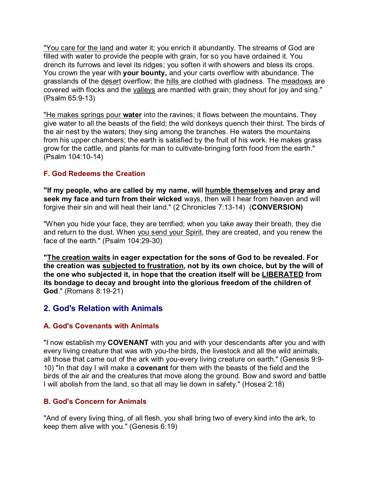"You care for the land and water it; you enrich it abundantly. The streams of God are filled with water to provide the people with grain, for so you have ordained it. You drench its furrows and level its ridges; you soften it with showers and bless its crops. You crown the year with **your bounty,** and your carts overflow with abundance. The grasslands of the desert overflow; the hills are clothed with gladness. The meadows are covered with flocks and the valleys are mantled with grain; they shout for joy and sing." (Psalm 65:9-13)

"He makes springs pour **water** into the ravines; it flows between the mountains. They give water to all the beasts of the field; the wild donkeys quench their thirst. The birds of the air nest by the waters; they sing among the branches. He waters the mountains from his upper chambers; the earth is satisfied by the fruit of his work. He makes grass grow for the cattle, and plants for man to cultivate-bringing forth food from the earth." (Psalm 104:10-14)

## **F. God Redeems the Creation**

**"If my people, who are called by my name, will humble themselves and pray and seek my face and turn from their wicked** ways, then will I hear from heaven and will forgive their sin and will heal their land." (2 Chronicles 7:13-14) (**CONVERSION)**

"When you hide your face, they are terrified; when you take away their breath, they die and return to the dust. When you send your Spirit, they are created, and you renew the face of the earth." (Psalm 104:29-30)

**"The creation waits in eager expectation for the sons of God to be revealed. For the creation was subjected to frustration, not by its own choice, but by the will of the one who subjected it, in hope that the creation itself will be LIBERATED from its bondage to decay and brought into the glorious freedom of the children of God**." (Romans 8:19-21)

# **2. God's Relation with Animals**

#### **A. God's Covenants with Animals**

"I now establish my **COVENANT** with you and with your descendants after you and with every living creature that was with you-the birds, the livestock and all the wild animals, all those that came out of the ark with you-every living creature on earth." (Genesis 9:9- 10) "In that day I will make a **covenant** for them with the beasts of the field and the birds of the air and the creatures that move along the ground. Bow and sword and battle I will abolish from the land, so that all may lie down in safety." (Hosea 2:18)

#### **B. God's Concern for Animals**

"And of every living thing, of all flesh, you shall bring two of every kind into the ark, to keep them alive with you." (Genesis 6:19)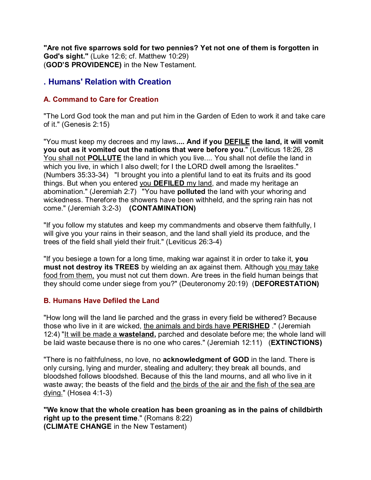**"Are not five sparrows sold for two pennies? Yet not one of them is forgotten in God's sight."** (Luke 12:6; cf. Matthew 10:29) (**GOD'S PROVIDENCE)** in the New Testament.

# **. Humans' Relation with Creation**

# **A. Command to Care for Creation**

"The Lord God took the man and put him in the Garden of Eden to work it and take care of it." (Genesis 2:15)

"You must keep my decrees and my laws**.... And if you DEFILE the land, it will vomit you out as it vomited out the nations that were before you**." (Leviticus 18:26, 28 You shall not **POLLUTE** the land in which you live.... You shall not defile the land in which you live, in which I also dwell; for I the LORD dwell among the Israelites." (Numbers 35:33-34) "I brought you into a plentiful land to eat its fruits and its good things. But when you entered you **DEFILED** my land, and made my heritage an abomination." (Jeremiah 2:7) "You have **polluted** the land with your whoring and wickedness. Therefore the showers have been withheld, and the spring rain has not come." (Jeremiah 3:2-3) **(CONTAMINATION)**

"If you follow my statutes and keep my commandments and observe them faithfully, I will give you your rains in their season, and the land shall yield its produce, and the trees of the field shall yield their fruit." (Leviticus 26:3-4)

"If you besiege a town for a long time, making war against it in order to take it, **you must not destroy its TREES** by wielding an ax against them. Although you may take food from them, you must not cut them down. Are trees in the field human beings that they should come under siege from you?" (Deuteronomy 20:19) (**DEFORESTATION)**

# **B. Humans Have Defiled the Land**

"How long will the land lie parched and the grass in every field be withered? Because those who live in it are wicked, the animals and birds have **PERISHED** ." (Jeremiah 12:4) "It will be made a **wasteland,** parched and desolate before me; the whole land will be laid waste because there is no one who cares." (Jeremiah 12:11) (**EXTINCTIONS)**

"There is no faithfulness, no love, no **acknowledgment of GOD** in the land. There is only cursing, lying and murder, stealing and adultery; they break all bounds, and bloodshed follows bloodshed. Because of this the land mourns, and all who live in it waste away; the beasts of the field and the birds of the air and the fish of the sea are dying." (Hosea 4:1-3)

**"We know that the whole creation has been groaning as in the pains of childbirth right up to the present time**." (Romans 8:22) **(CLIMATE CHANGE** in the New Testament)